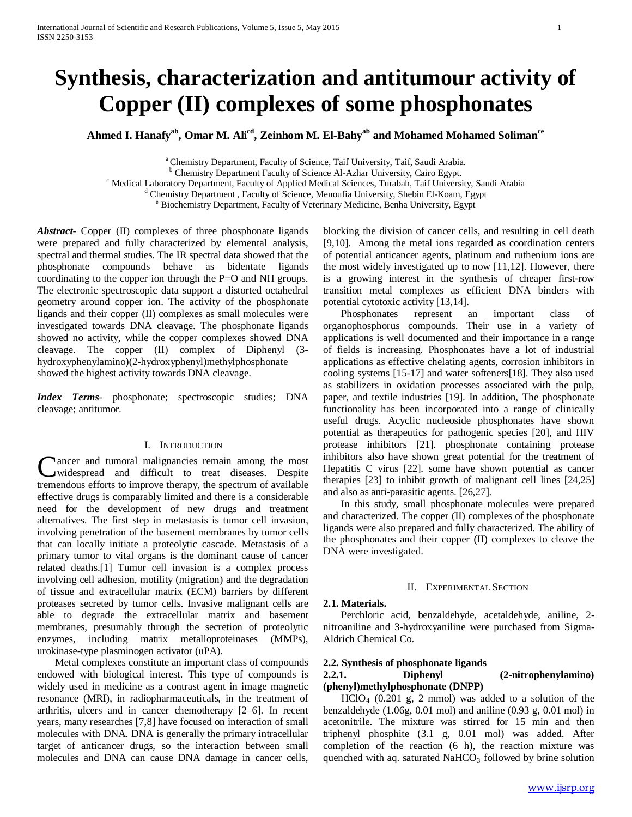# **Synthesis, characterization and antitumour activity of Copper (II) complexes of some phosphonates**

Ahmed I. Hanafy<sup>ab</sup>, Omar M. Ali<sup>cd</sup>, Zeinhom M. El-Bahy<sup>ab</sup> and Mohamed Mohamed Soliman<sup>ce</sup>

 $^\circ$  Chemistry Department, Faculty of Science, Taif University, Taif, Saudi Arabia.<br>  $^\circ$  Chemistry Department Faculty of Science Al-Azhar University, Cairo Egypt.<br>  $^\circ$  Medical Laboratory Department, Faculty of Applied M

*Abstract***-** Copper (II) complexes of three phosphonate ligands were prepared and fully characterized by elemental analysis, spectral and thermal studies. The IR spectral data showed that the phosphonate compounds behave as bidentate ligands coordinating to the copper ion through the P=O and NH groups. The electronic spectroscopic data support a distorted octahedral geometry around copper ion. The activity of the phosphonate ligands and their copper (II) complexes as small molecules were investigated towards DNA cleavage. The phosphonate ligands showed no activity, while the copper complexes showed DNA cleavage. The copper (II) complex of Diphenyl (3 hydroxyphenylamino)(2-hydroxyphenyl)methylphosphonate showed the highest activity towards DNA cleavage.

*Index Terms*- phosphonate; spectroscopic studies; DNA cleavage; antitumor.

# I. INTRODUCTION

ancer and tumoral malignancies remain among the most widespread and difficult to treat diseases. Despite Cancer and tumoral malignancies remain among the most widespread and difficult to treat diseases. Despite tremendous efforts to improve therapy, the spectrum of available effective drugs is comparably limited and there is a considerable need for the development of new drugs and treatment alternatives. The first step in metastasis is tumor cell invasion, involving penetration of the basement membranes by tumor cells that can locally initiate a proteolytic cascade. Metastasis of a primary tumor to vital organs is the dominant cause of cancer related deaths.[1] Tumor cell invasion is a complex process involving cell adhesion, motility (migration) and the degradation of tissue and extracellular matrix (ECM) barriers by different proteases secreted by tumor cells. Invasive malignant cells are able to degrade the extracellular matrix and basement membranes, presumably through the secretion of proteolytic enzymes, including matrix metalloproteinases (MMPs), urokinase-type plasminogen activator (uPA).

 Metal complexes constitute an important class of compounds endowed with biological interest. This type of compounds is widely used in medicine as a contrast agent in image magnetic resonance (MRI), in radiopharmaceuticals, in the treatment of arthritis, ulcers and in cancer chemotherapy [2–6]. In recent years, many researches [7,8] have focused on interaction of small molecules with DNA. DNA is generally the primary intracellular target of anticancer drugs, so the interaction between small molecules and DNA can cause DNA damage in cancer cells,

blocking the division of cancer cells, and resulting in cell death [9,10]. Among the metal ions regarded as coordination centers of potential anticancer agents, platinum and ruthenium ions are the most widely investigated up to now [11,12]. However, there is a growing interest in the synthesis of cheaper first-row transition metal complexes as efficient DNA binders with potential cytotoxic activity [13,14].

 Phosphonates represent an important class of organophosphorus compounds. Their use in a variety of applications is well documented and their importance in a range of fields is increasing. Phosphonates have a lot of industrial applications as effective chelating agents, corrosion inhibitors in cooling systems [15-17] and water softeners[18]. They also used as stabilizers in oxidation processes associated with the pulp, paper, and textile industries [19]. In addition, The phosphonate functionality has been incorporated into a range of clinically useful drugs. Acyclic nucleoside phosphonates have shown potential as therapeutics for pathogenic species [20], and HIV protease inhibitors [21]. phosphonate containing protease inhibitors also have shown great potential for the treatment of Hepatitis C virus [22]. some have shown potential as cancer therapies [23] to inhibit growth of malignant cell lines [24,25] and also as anti-parasitic agents. [26,27].

 In this study, small phosphonate molecules were prepared and characterized. The copper (II) complexes of the phosphonate ligands were also prepared and fully characterized. The ability of the phosphonates and their copper (II) complexes to cleave the DNA were investigated.

# II. EXPERIMENTAL SECTION

# **2.1. Materials.**

 Perchloric acid, benzaldehyde, acetaldehyde, aniline, 2 nitroaniline and 3-hydroxyaniline were purchased from Sigma-Aldrich Chemical Co.

# **2.2. Synthesis of phosphonate ligands 2.2.1. Diphenyl (2-nitrophenylamino) (phenyl)methylphosphonate (DNPP)**

 $HCIO<sub>4</sub>$  (0.201 g, 2 mmol) was added to a solution of the benzaldehyde (1.06g, 0.01 mol) and aniline (0.93 g, 0.01 mol) in acetonitrile. The mixture was stirred for 15 min and then triphenyl phosphite (3.1 g, 0.01 mol) was added. After completion of the reaction (6 h), the reaction mixture was quenched with aq. saturated  $NAHCO<sub>3</sub>$  followed by brine solution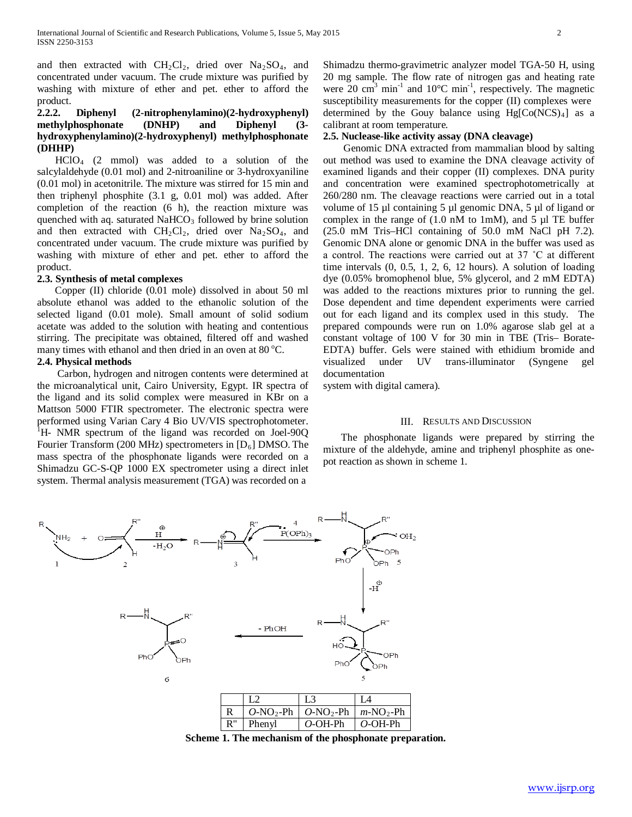and then extracted with  $CH_2Cl_2$ , dried over  $Na_2SO_4$ , and concentrated under vacuum. The crude mixture was purified by washing with mixture of ether and pet. ether to afford the product.

# **2.2.2. Diphenyl (2-nitrophenylamino)(2-hydroxyphenyl) methylphosphonate (DNHP) and Diphenyl (3 hydroxyphenylamino)(2-hydroxyphenyl) methylphosphonate (DHHP)**

 HClO4 (2 mmol) was added to a solution of the salcylaldehyde (0.01 mol) and 2-nitroaniline or 3-hydroxyaniline (0.01 mol) in acetonitrile. The mixture was stirred for 15 min and then triphenyl phosphite (3.1 g, 0.01 mol) was added. After completion of the reaction (6 h), the reaction mixture was quenched with aq. saturated  $NAHCO<sub>3</sub>$  followed by brine solution and then extracted with  $CH_2Cl_2$ , dried over  $Na_2SO_4$ , and concentrated under vacuum. The crude mixture was purified by washing with mixture of ether and pet. ether to afford the product.

# **2.3. Synthesis of metal complexes**

 Copper (II) chloride (0.01 mole) dissolved in about 50 ml absolute ethanol was added to the ethanolic solution of the selected ligand (0.01 mole). Small amount of solid sodium acetate was added to the solution with heating and contentious stirring. The precipitate was obtained, filtered off and washed many times with ethanol and then dried in an oven at 80 °C.

# **2.4. Physical methods**

 Carbon, hydrogen and nitrogen contents were determined at the microanalytical unit, Cairo University, Egypt. IR spectra of the ligand and its solid complex were measured in KBr on a Mattson 5000 FTIR spectrometer. The electronic spectra were performed using Varian Cary 4 Bio UV/VIS spectrophotometer. <sup>1</sup>H- NMR spectrum of the ligand was recorded on Joel-90Q Fourier Transform (200 MHz) spectrometers in [D<sub>6</sub>] DMSO. The mass spectra of the phosphonate ligands were recorded on a Shimadzu GC-S-QP 1000 EX spectrometer using a direct inlet system. Thermal analysis measurement (TGA) was recorded on a

Shimadzu thermo-gravimetric analyzer model TGA-50 H, using 20 mg sample. The flow rate of nitrogen gas and heating rate were 20  $\text{cm}^3$  min<sup>-1</sup> and 10°C min<sup>-1</sup>, respectively. The magnetic susceptibility measurements for the copper (II) complexes were determined by the Gouy balance using Hg[Co(NCS)<sub>4</sub>] as a calibrant at room temperature.

# **2.5. Nuclease-like activity assay (DNA cleavage)**

 Genomic DNA extracted from mammalian blood by salting out method was used to examine the DNA cleavage activity of examined ligands and their copper (II) complexes. DNA purity and concentration were examined spectrophotometrically at 260/280 nm. The cleavage reactions were carried out in a total volume of 15 µl containing 5 µl genomic DNA, 5 µl of ligand or complex in the range of  $(1.0 \text{ nM to } 1 \text{ mM})$ , and  $5 \mu$ l TE buffer (25.0 mM Tris–HCl containing of 50.0 mM NaCl pH 7.2). Genomic DNA alone or genomic DNA in the buffer was used as a control. The reactions were carried out at 37 ˚C at different time intervals (0, 0.5, 1, 2, 6, 12 hours). A solution of loading dye (0.05% bromophenol blue, 5% glycerol, and 2 mM EDTA) was added to the reactions mixtures prior to running the gel. Dose dependent and time dependent experiments were carried out for each ligand and its complex used in this study. The prepared compounds were run on 1.0% agarose slab gel at a constant voltage of 100 V for 30 min in TBE (Tris– Borate-EDTA) buffer. Gels were stained with ethidium bromide and visualized under UV trans-illuminator (Syngene gel documentation

system with digital camera).

# III. RESULTS AND DISCUSSION

 The phosphonate ligands were prepared by stirring the mixture of the aldehyde, amine and triphenyl phosphite as onepot reaction as shown in scheme 1.



**Scheme 1. The mechanism of the phosphonate preparation.**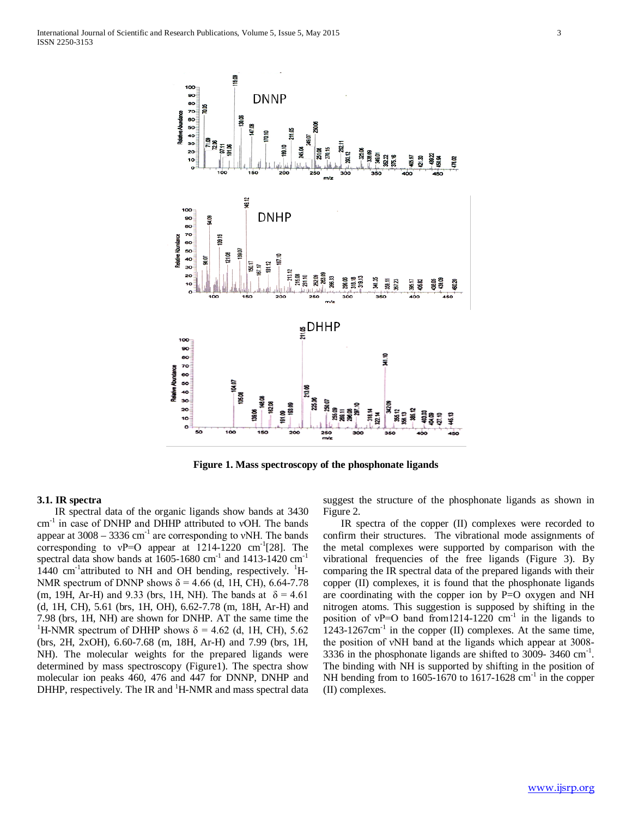

**Figure 1. Mass spectroscopy of the phosphonate ligands**

### **3.1. IR spectra**

 IR spectral data of the organic ligands show bands at 3430 cm-1 in case of DNHP and DHHP attributed to νOH. The bands appear at  $3008 - 3336$  cm<sup>-1</sup> are corresponding to vNH. The bands corresponding to  $vP=O$  appear at 1214-1220 cm<sup>-1</sup>[28]. The spectral data show bands at  $1605-1680$  cm<sup>-1</sup> and  $1413-1420$  cm<sup>-1</sup>  $1440 \text{ cm}^{-1}$ attributed to NH and OH bending, respectively. <sup>1</sup>H-NMR spectrum of DNNP shows  $\delta$  = 4.66 (d, 1H, CH), 6.64-7.78 (m, 19H, Ar-H) and 9.33 (brs, 1H, NH). The bands at  $\delta = 4.61$ (d, 1H, CH), 5.61 (brs, 1H, OH), 6.62-7.78 (m, 18H, Ar-H) and 7.98 (brs, 1H, NH) are shown for DNHP. AT the same time the 1 <sup>1</sup>H-NMR spectrum of DHHP shows  $\delta$  = 4.62 (d, 1H, CH), 5.62 (brs, 2H, 2xOH), 6.60-7.68 (m, 18H, Ar-H) and 7.99 (brs, 1H, NH). The molecular weights for the prepared ligands were determined by mass spectroscopy (Figure1). The spectra show molecular ion peaks 460, 476 and 447 for DNNP, DNHP and DHHP, respectively. The IR and <sup>1</sup>H-NMR and mass spectral data suggest the structure of the phosphonate ligands as shown in Figure 2.

 IR spectra of the copper (II) complexes were recorded to confirm their structures. The vibrational mode assignments of the metal complexes were supported by comparison with the vibrational frequencies of the free ligands (Figure 3). By comparing the IR spectral data of the prepared ligands with their copper (II) complexes, it is found that the phosphonate ligands are coordinating with the copper ion by P=O oxygen and NH nitrogen atoms. This suggestion is supposed by shifting in the position of  $vP=O$  band from 1214-1220 cm<sup>-1</sup> in the ligands to  $1243-1267$ cm<sup>-1</sup> in the copper (II) complexes. At the same time, the position of νNH band at the ligands which appear at 3008- 3336 in the phosphonate ligands are shifted to 3009- 3460  $\text{cm}^{-1}$ . The binding with NH is supported by shifting in the position of NH bending from to 1605-1670 to 1617-1628  $cm^{-1}$  in the copper (II) complexes.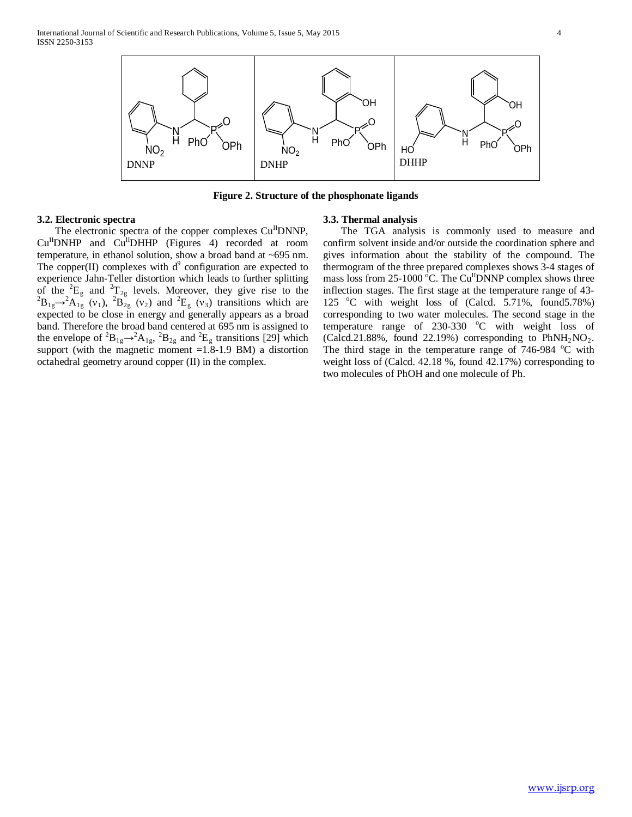

**Figure 2. Structure of the phosphonate ligands**

# **3.2. Electronic spectra**

The electronic spectra of the copper complexes Cu<sup>II</sup>DNNP,  $Cu<sup>H</sup>DNHP$  and  $Cu<sup>H</sup>DHHP$  (Figures 4) recorded at room temperature, in ethanol solution, show a broad band at ~695 nm. The copper(II) complexes with  $d^9$  configuration are expected to experience Jahn-Teller distortion which leads to further splitting of the <sup>2</sup>E<sub>g</sub> and <sup>2</sup>T<sub>2g</sub> levels. Moreover, they give rise to the <sup>2</sup>B<sub>2</sub><sup>2</sup>A<sub>2</sub><sup>2</sup> (v) and <sup>2</sup>E<sub>2</sub>(v) transitions which are  $B_{1g} \rightarrow {}^{2}A_{1g}$  (v<sub>1</sub>),  ${}^{2}B_{2g}$  (v<sub>2</sub>) and  ${}^{2}E_{g}$  (v<sub>3</sub>) transitions which are expected to be close in energy and generally appears as a broad band. Therefore the broad band centered at 695 nm is assigned to the envelope of  ${}^{2}B_{1g} \rightarrow {}^{2}A_{1g}$ ,  ${}^{2}B_{2g}$  and  ${}^{2}E_{g}$  transitions [29] which support (with the magnetic moment =1.8-1.9 BM) a distortion octahedral geometry around copper (II) in the complex.

# **3.3. Thermal analysis**

 The TGA analysis is commonly used to measure and confirm solvent inside and/or outside the coordination sphere and gives information about the stability of the compound. The thermogram of the three prepared complexes shows 3-4 stages of mass loss from 25-1000  $\mathrm{^6C}$ . The Cu<sup>II</sup>DNNP complex shows three inflection stages. The first stage at the temperature range of 43- 125 °C with weight loss of (Calcd. 5.71%, found5.78%) corresponding to two water molecules. The second stage in the temperature range of  $230-330$  °C with weight loss of (Calcd.21.88%, found 22.19%) corresponding to  $PhNH<sub>2</sub>NO<sub>2</sub>$ . The third stage in the temperature range of  $746-984$  °C with weight loss of (Calcd. 42.18 %, found 42.17%) corresponding to two molecules of PhOH and one molecule of Ph.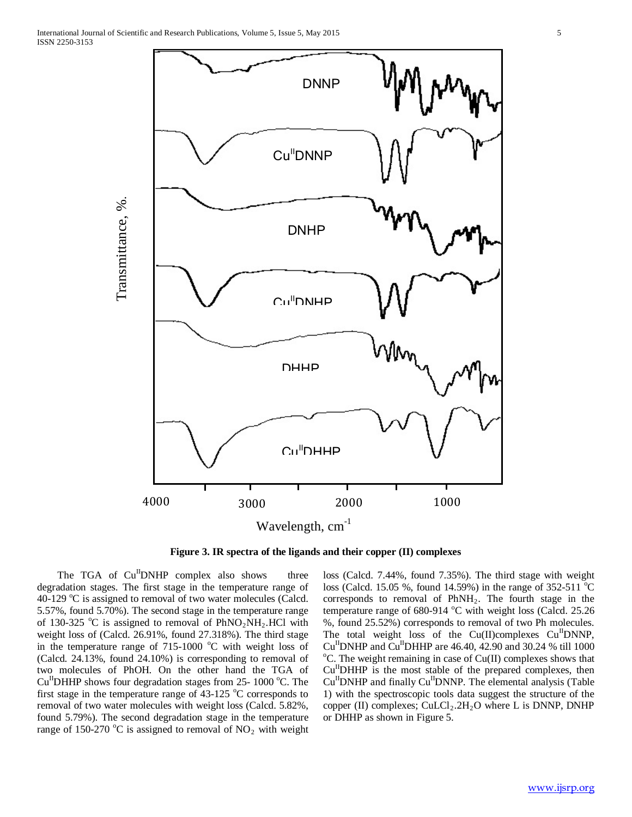

**Figure 3. IR spectra of the ligands and their copper (II) complexes**

The TGA of  $Cu$ <sup>II</sup>DNHP complex also shows three degradation stages. The first stage in the temperature range of 40-129 °C is assigned to removal of two water molecules (Calcd. 5.57%, found 5.70%). The second stage in the temperature range of 130-325 °C is assigned to removal of  $PhNO_2NH_2$ . HCl with weight loss of (Calcd. 26.91%, found 27.318%). The third stage in the temperature range of  $715-1000$  °C with weight loss of (Calcd. 24.13%, found 24.10%) is corresponding to removal of two molecules of PhOH. On the other hand the TGA of  $Cu$ <sup>II</sup>DHHP shows four degradation stages from 25- 1000 °C. The first stage in the temperature range of  $43-125$  °C corresponds to removal of two water molecules with weight loss (Calcd. 5.82%, found 5.79%). The second degradation stage in the temperature range of 150-270 °C is assigned to removal of  $NO<sub>2</sub>$  with weight

loss (Calcd. 7.44%, found 7.35%). The third stage with weight loss (Calcd. 15.05 %, found 14.59%) in the range of  $352-511^{\circ}$ C corresponds to removal of  $PhNH<sub>2</sub>$ . The fourth stage in the temperature range of 680-914 °C with weight loss (Calcd. 25.26 %, found 25.52%) corresponds to removal of two Ph molecules. The total weight loss of the  $Cu(II)$ complexes  $Cu<sup>II</sup>$ DNNP,  $Cu<sup>H</sup>DNHP$  and  $Cu<sup>H</sup>DHHP$  are 46.40, 42.90 and 30.24 % till 1000  $\rm{^{\circ}C}$ . The weight remaining in case of Cu(II) complexes shows that Cu<sup>II</sup>DHHP is the most stable of the prepared complexes, then  $Cu<sup>H</sup>$ DNHP and finally  $Cu<sup>H</sup>$ DNNP. The elemental analysis (Table 1) with the spectroscopic tools data suggest the structure of the copper (II) complexes;  $CuLCl<sub>2</sub>·2H<sub>2</sub>O$  where L is DNNP, DNHP or DHHP as shown in Figure 5.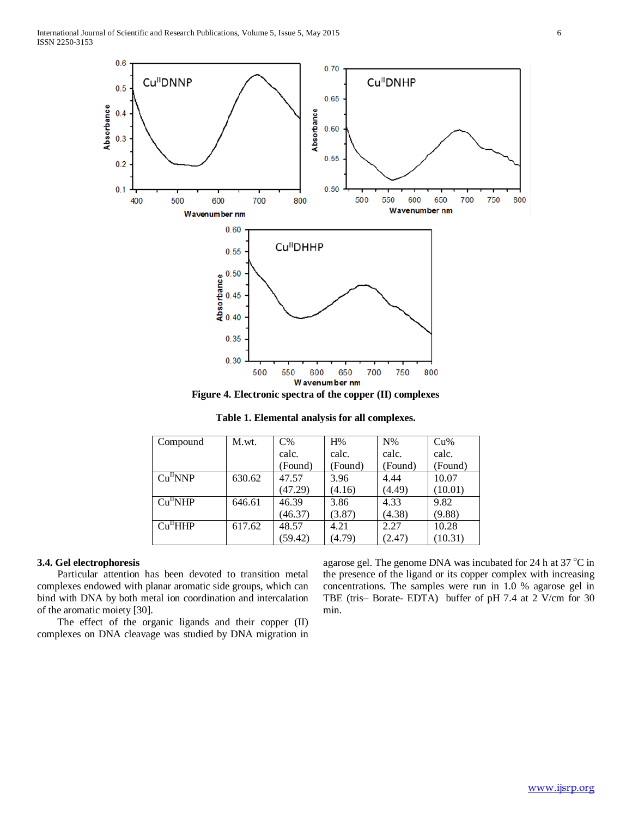

**Figure 4. Electronic spectra of the copper (II) complexes**

**Table 1. Elemental analysis for all complexes.**

| Compound             | M.wt.  | $C\%$   | H%      | $N\%$   | Cu%     |
|----------------------|--------|---------|---------|---------|---------|
|                      |        | calc.   | calc.   | calc.   | calc.   |
|                      |        | (Found) | (Found) | (Found) | (Found) |
| Cu <sup>H</sup> NNP  | 630.62 | 47.57   | 3.96    | 4.44    | 10.07   |
|                      |        | (47.29) | (4.16)  | (4.49)  | (10.01) |
| Cu <sup>H</sup> NHP  | 646.61 | 46.39   | 3.86    | 4.33    | 9.82    |
|                      |        | (46.37) | (3.87)  | (4.38)  | (9.88)  |
| Cu <sup>11</sup> HHP | 617.62 | 48.57   | 4.21    | 2.27    | 10.28   |
|                      |        | (59.42) | (4.79)  | (2.47)  | (10.31) |

# **3.4. Gel electrophoresis**

 Particular attention has been devoted to transition metal complexes endowed with planar aromatic side groups, which can bind with DNA by both metal ion coordination and intercalation of the aromatic moiety [30].

 The effect of the organic ligands and their copper (II) complexes on DNA cleavage was studied by DNA migration in

agarose gel. The genome DNA was incubated for 24 h at 37  $^{\circ}$ C in the presence of the ligand or its copper complex with increasing concentrations. The samples were run in 1.0 % agarose gel in TBE (tris– Borate- EDTA) buffer of pH 7.4 at 2 V/cm for 30 min.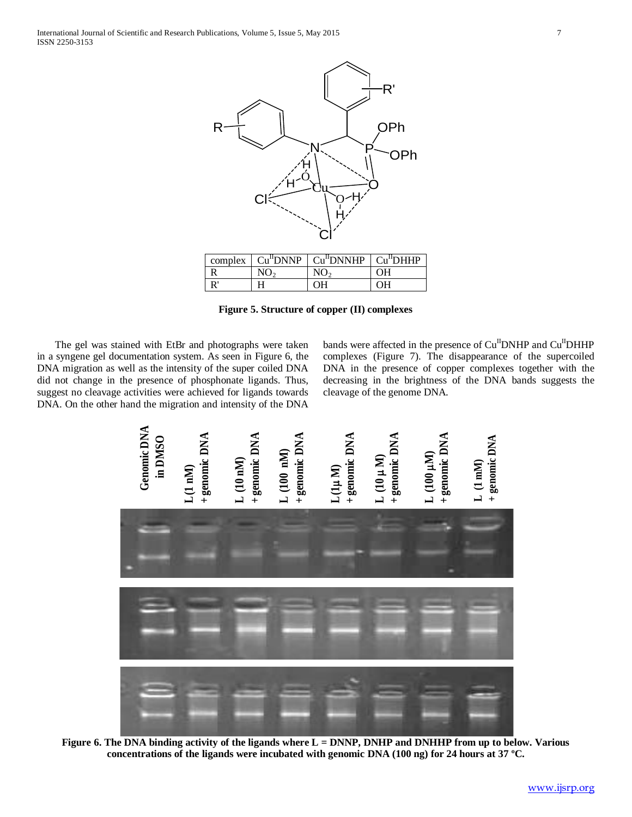

**Figure 5. Structure of copper (II) complexes**

 The gel was stained with EtBr and photographs were taken in a syngene gel documentation system. As seen in Figure 6, the DNA migration as well as the intensity of the super coiled DNA did not change in the presence of phosphonate ligands. Thus, suggest no cleavage activities were achieved for ligands towards DNA. On the other hand the migration and intensity of the DNA

bands were affected in the presence of Cu<sup>II</sup>DNHP and Cu<sup>II</sup>DHHP complexes (Figure 7). The disappearance of the supercoiled DNA in the presence of copper complexes together with the decreasing in the brightness of the DNA bands suggests the cleavage of the genome DNA.



Figure 6. The DNA binding activity of the ligands where L = DNNP, DNHP and DNHHP from up to below. Various **concentrations of the ligands were incubated with genomic DNA (100 ng) for 24 hours at 37 ºC.**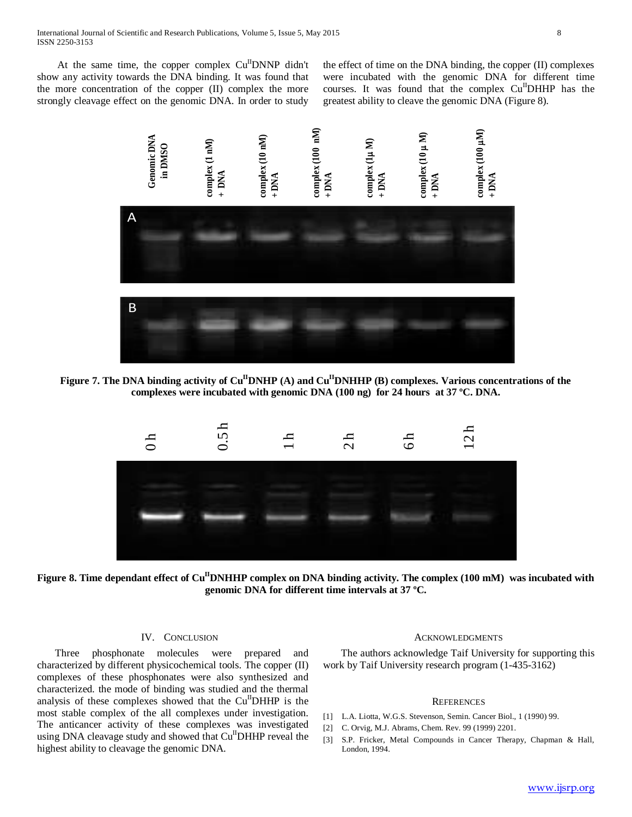At the same time, the copper complex  $Cu<sup>H</sup>$ DNNP didn't show any activity towards the DNA binding. It was found that the more concentration of the copper (II) complex the more strongly cleavage effect on the genomic DNA. In order to study

the effect of time on the DNA binding, the copper (II) complexes were incubated with the genomic DNA for different time courses. It was found that the complex  $Cu<sup>H</sup>DHHP$  has the greatest ability to cleave the genomic DNA (Figure 8).



Figure 7. The DNA binding activity of Cu<sup>II</sup>DNHP (A) and Cu<sup>II</sup>DNHHP (B) complexes. Various concentrations of the **complexes were incubated with genomic DNA (100 ng) for 24 hours at 37 ºC. DNA.**



Figure 8. Time dependant effect of Cu<sup>II</sup>DNHHP complex on DNA binding activity. The complex (100 mM) was incubated with **genomic DNA for different time intervals at 37 ºC.**

## IV. CONCLUSION

 Three phosphonate molecules were prepared and characterized by different physicochemical tools. The copper (II) complexes of these phosphonates were also synthesized and characterized. the mode of binding was studied and the thermal analysis of these complexes showed that the  $Cu<sup>H</sup>DHHP$  is the most stable complex of the all complexes under investigation. The anticancer activity of these complexes was investigated using DNA cleavage study and showed that Cu<sup>II</sup>DHHP reveal the highest ability to cleavage the genomic DNA.

#### ACKNOWLEDGMENTS

 The authors acknowledge Taif University for supporting this work by Taif University research program (1-435-3162)

### **REFERENCES**

- [1] L.A. Liotta, W.G.S. Stevenson, Semin. Cancer Biol., 1 (1990) 99.
- [2] C. Orvig, M.J. Abrams, Chem. Rev. 99 (1999) 2201.
- [3] S.P. Fricker, Metal Compounds in Cancer Therapy, Chapman & Hall, London, 1994.